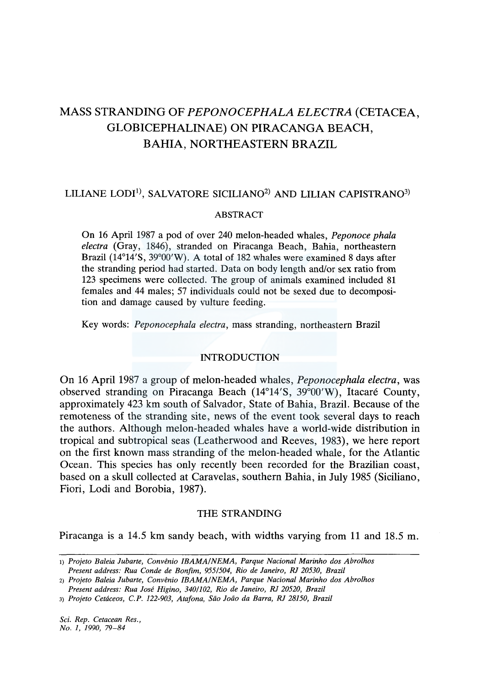# MASS STRANDING OF *PEPONOCEPHALA ELECTRA* (CETACEA, GLOBICEPHALINAE) ON PIRACANGA BEACH, BARIA, NORTHEASTERN BRAZIL

# LILIANE LODI<sup>1)</sup>, SALVATORE SICILIANO<sup>2)</sup> AND LILIAN CAPISTRANO<sup>3)</sup>

### ABSTRACT

On 16 April 1987 a pod of over 240 melon-headed whales, *Peponoce phala electra* (Gray, 1846), stranded on Piracanga Beach, Bahia, northeastern Brazil (14°14'S, 39°00'W). A total of 182 whales were examined 8 days after the stranding period had started. Data on body length and/or sex ratio from 123 specimens were collected. The group of animals examined included 81 females and 44 males; 57 individuals could not be sexed due to decomposition and damage caused by vulture feeding.

Key words: *Peponocephala electra,* mass stranding, northeastern Brazil

## INTRODUCTION

On 16 April 1987 a group of melon-headed whales, *Peponocephala electra,* was observed stranding on Piracanga Beach (14°14'S, 39°00'W), ltacare County, approximately 423 km south of Salvador, State of Bahia, Brazil. Because of the remoteness of the stranding site, news of the event took several days to reach the authors. Although melon-headed whales have a world-wide distribution in tropical and subtropical seas (Leatherwood and Reeves, 1983), we here report on the first known mass stranding of the melon-headed whale, for the Atlantic Ocean. This species has only recently been recorded for the Brazilian coast, based on a skull collected at Caravelas, southern Bahia, in July 1985 (Siciliano, Fiori, Lodi and Borobia, 1987).

## THE STRANDING

Piracanga is a 14.5 km sandy beach, with widths varying from 11 and 18.5 m.

*Sci. Rep. Cetacean Res., No. 1, 1990, 79-84* 

<sup>1)</sup> *Projeto Baleia Jubarte, Convenio IBAMA!NEMA, Parque Nacional Marinho dos Abrolhos Present address: Rua Conde de Bonfim, 9551504, Rio de Janeiro, RJ 20530, Brazil* 

<sup>2)</sup> *Projeto Baleia Jubarte, Convenio IBAMA/NEMA, Parque Nacional Marinho dos Abrolhos Present address: Rua Jose Higino, 3401102, Rio de Janeiro, RJ 20520, Brazil* 

<sup>3)</sup> *Projeto Cetaceos, C.P. 122-903, Atafona, Sao Joao da Barra, RJ 28150, Brazil*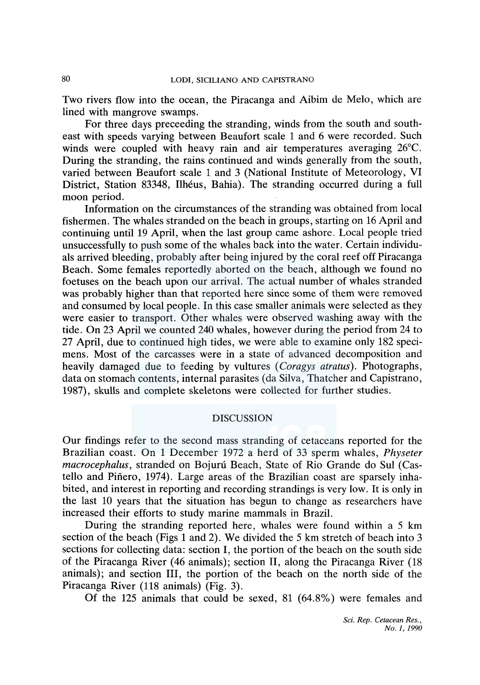Two rivers flow into the ocean, the Piracanga and Aibim de Melo, which are lined with mangrove swamps.

For three days preceeding the stranding, winds from the south and southeast with speeds varying between Beaufort scale 1 and 6 were recorded. Such winds were coupled with heavy rain and air temperatures averaging 26°C. During the stranding, the rains continued and winds generally from the south, varied between Beaufort scale 1 and 3 (National Institute of Meteorology, VI District, Station 83348, Ilhéus, Bahia). The stranding occurred during a full moon period.

Information on the circumstances of the stranding was obtained from local fishermen. The whales stranded on the beach in groups, starting on 16 April and continuing until 19 April, when the last group came ashore. Local people tried unsuccessfully to push some of the whales back into the water. Certain individuals arrived bleeding, probably after being injured by the coral reef off Piracanga Beach. Some females reportedly aborted on the beach, although we found no foetuses on the beach upon our arrival. The actual number of whales stranded was probably higher than that reported here since some of them were removed and consumed by local people. In this case smaller animals were selected as they were easier to transport. Other whales were observed washing away with the tide. On 23 April we counted 240 whales, however during the period from 24 to 27 April, due to continued high tides, we were able to examine only 182 specimens. Most of the carcasses were in a state of advanced decomposition and heavily damaged due to feeding by vultures ( *Coragys atratus).* Photographs, data on stomach contents, internal parasites (da Silva, Thatcher and Capistrano, 1987), skulls and complete skeletons were collected for further studies.

### **DISCUSSION**

Our findings refer to the second mass stranding of cetaceans reported for the Brazilian coast. On 1 December 1972 a herd of 33 sperm whales, *Physeter macrocephalus,* stranded on Bojuni Beach, State of Rio Grande do Sul (Castello and Pinero, 1974). Large areas of the Brazilian coast are sparsely inhabited, and interest in reporting and recording strandings is very low. It is only in the last 10 years that the situation has begun to change as researchers have increased their efforts to study marine mammals in Brazil.

During the stranding reported here, whales were found within a 5 km section of the beach (Figs 1 and 2). We divided the 5 km stretch of beach into 3 sections for collecting data: section I, the portion of the beach on the south side of the Piracanga River (46 animals); section II, along the Piracanga River (18 animals); and section III, the portion of the beach on the north side of the Piracanga River (118 animals) (Fig. 3).

Of the 125 animals that could be sexed, 81 (64.8%) were females and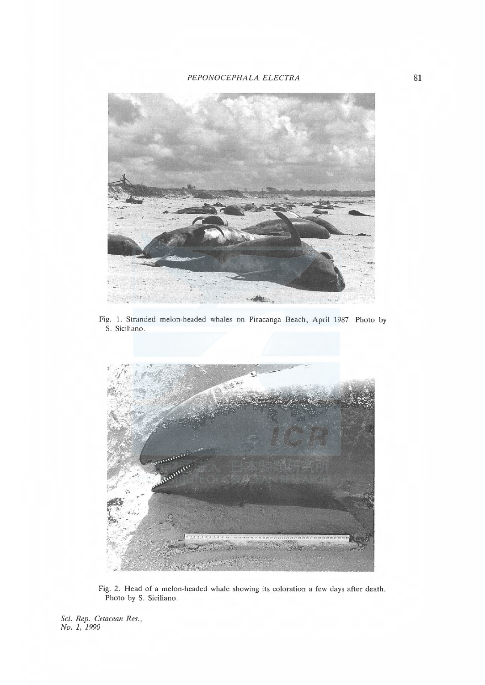

Fig. 1. Stranded melon-headed whales on Piracanga Beach, April 1987. Photo by S. Siciliano



Fig. 2. Head of a melon-headed whale showing its coloration a few days after death Photo by S. Siciliano.

Sci. Rep. Cetacean Res., No. I, 1990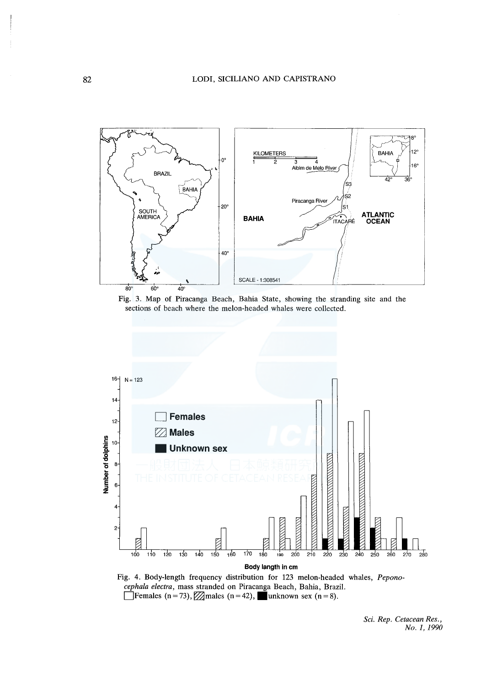

Fig. 3. Map of Piracanga Beach, Bahia State, showing the stranding site and the sections of beach where the melon-headed whales were collected.





*Sci. Rep. Cetacean Res., No. I, 1990*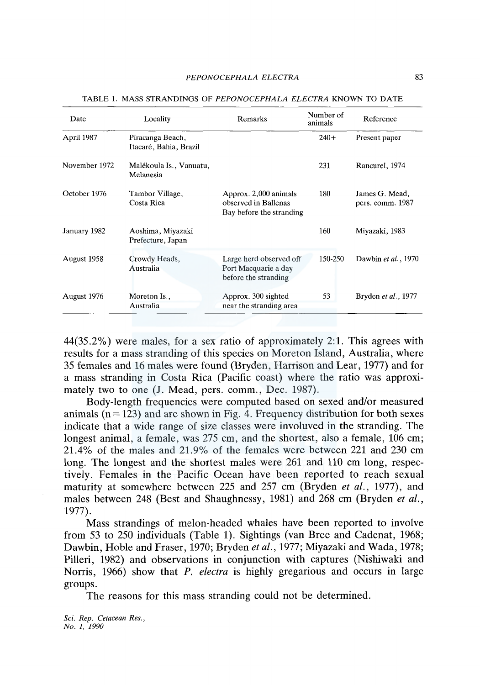| Date          | Locality                                   | Remarks                                                                   | Number of<br>animals | Reference                          |
|---------------|--------------------------------------------|---------------------------------------------------------------------------|----------------------|------------------------------------|
| April 1987    | Piracanga Beach,<br>Itacaré, Bahia, Brazil |                                                                           | $240+$               | Present paper                      |
| November 1972 | Malékoula Is., Vanuatu,<br>Melanesia       |                                                                           | 231                  | Rancurel, 1974                     |
| October 1976  | Tambor Village,<br>Costa Rica              | Approx. 2,000 animals<br>observed in Ballenas<br>Bay before the stranding | 180                  | James G. Mead,<br>pers. comm. 1987 |
| January 1982  | Aoshima, Miyazaki<br>Prefecture, Japan     |                                                                           | 160                  | Miyazaki, 1983                     |
| August 1958   | Crowdy Heads,<br>Australia                 | Large herd observed off<br>Port Macquarie a day<br>before the stranding   | 150-250              | Dawbin et al., 1970                |
| August 1976   | Moreton Is.,<br>Australia                  | Approx. 300 sighted<br>near the stranding area                            | 53                   | Bryden et al., 1977                |

TABLE 1. MASS STRANDINGS OF *PEPONOCEPHALA ELECTRA* KNOWN TO DATE

44(35.2%) were males, for a sex ratio of approximately 2:1. This agrees with results for a mass stranding of this species on Moreton Island, Australia, where 35 females and 16 males were found (Bryden, Harrison and Lear, 1977) and for a mass stranding in Costa Rica (Pacific coast) where the ratio was approximately two to one (J. Mead, pers. comm., Dec. 1987).

Body-length frequencies were computed based on sexed and/or measured animals  $(n = 123)$  and are shown in Fig. 4. Frequency distribution for both sexes indicate that a wide range of size classes were involuved in the stranding. The longest animal, a female, was 275 cm, and the shortest, also a female, 106 cm; 21.4% of the males and 21.9% of the females were between 221 and 230 cm long. The longest and the shortest males were 261 and 110 cm long, respectively. Females in the Pacific Ocean have been reported to reach sexual maturity at somewhere between 225 and 257 cm (Bryden *et al.,* 1977), and males between 248 (Best and Shaughnessy, 1981) and 268 cm (Bryden *et al.,*  1977).

Mass strandings of melon-headed whales have been reported to involve from 53 to 250 individuals (Table 1). Sightings (van Bree and Cadenat, 1968; Dawbin, Roble and Fraser, 1970; Bryden *et al.,* 1977; Miyazaki and Wada, 1978; Pilleri, 1982) and observations in conjunction with captures (Nishiwaki and Norris, 1966) show that P. *electra* is highly gregarious and occurs in large groups.

The reasons for this mass stranding could not be determined.

*Sci. Rep. Cetacean Res., No. 1, 1990*